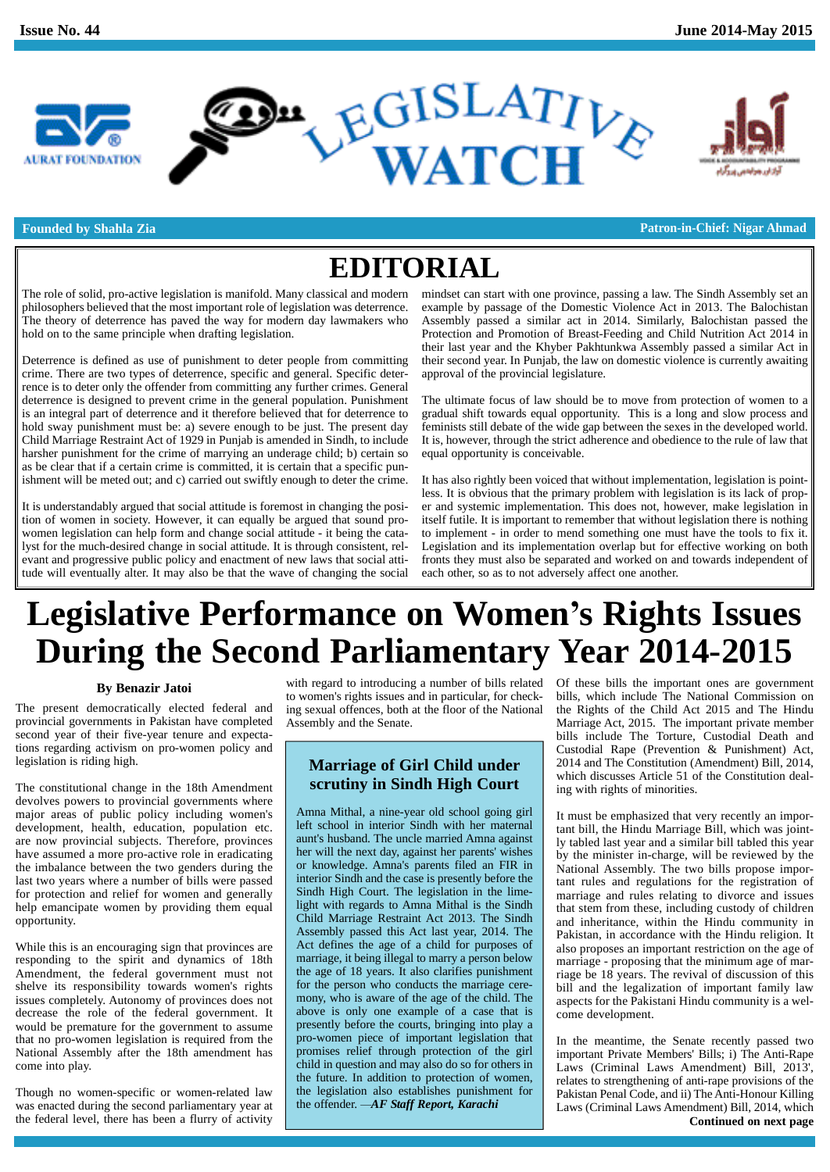



**Founded by Shahla Zia Patron-in-Chief: Nigar Ahmad**

# **EDITORIAL**

The role of solid, pro-active legislation is manifold. Many classical and modern philosophers believed that the most important role of legislation was deterrence. The theory of deterrence has paved the way for modern day lawmakers who hold on to the same principle when drafting legislation.

Deterrence is defined as use of punishment to deter people from committing crime. There are two types of deterrence, specific and general. Specific deterrence is to deter only the offender from committing any further crimes. General deterrence is designed to prevent crime in the general population. Punishment is an integral part of deterrence and it therefore believed that for deterrence to hold sway punishment must be: a) severe enough to be just. The present day Child Marriage Restraint Act of 1929 in Punjab is amended in Sindh, to include harsher punishment for the crime of marrying an underage child; b) certain so as be clear that if a certain crime is committed, it is certain that a specific punishment will be meted out; and c) carried out swiftly enough to deter the crime.

It is understandably argued that social attitude is foremost in changing the position of women in society. However, it can equally be argued that sound pro women legislation can help form and change social attitude - it being the catalyst for the much-desired change in social attitude. It is through consistent, rel evant and progressive public policy and enactment of new laws that social attitude will eventually alter. It may also be that the wave of changing the social

mindset can start with one province, passing a law. The Sindh Assembly set an example by passage of the Domestic Violence Act in 2013. The Balochistan Assembly passed a similar act in 2014. Similarly, Balochistan passed the Protection and Promotion of Breast-Feeding and Child Nutrition Act 2014 in their last year and the Khyber Pakhtunkwa Assembly passed a similar Act in their second year. In Punjab, the law on domestic violence is currently awaiting approval of the provincial legislature.

The ultimate focus of law should be to move from protection of women to a gradual shift towards equal opportunity. This is a long and slow process and feminists still debate of the wide gap between the sexes in the developed world. It is, however, through the strict adherence and obedience to the rule of law that equal opportunity is conceivable.

It has also rightly been voiced that without implementation, legislation is pointless. It is obvious that the primary problem with legislation is its lack of proper and systemic implementation. This does not, however, make legislation in itself futile. It is important to remember that without legislation there is nothing to implement - in order to mend something one must have the tools to fix it. Legislation and its implementation overlap but for effective working on both fronts they must also be separated and worked on and towards independent of each other, so as to not adversely affect one another.

# **Legislative Performance on Womení<sup>s</sup> Rights Issues During the Second Parliamentary Year 2014-2015**

# **By Benazir Jatoi**

The present democratically elected federal and provincial governments in Pakistan have completed second year of their five-year tenure and expectations regarding activism on pro-women policy and legislation is riding high.

The constitutional change in the 18th Amendment devolves powers to provincial governments where major areas of public policy including women's development, health, education, population etc. are now provincial subjects. Therefore, provinces have assumed a more pro-active role in eradicating the imbalance between the two genders during the last two years where a number of bills were passed for protection and relief for women and generally help emancipate women by providing them equal opportunity.

While this is an encouraging sign that provinces are responding to the spirit and dynamics of 18th Amendment, the federal government must not shelve its responsibility towards women's rights issues completely. Autonomy of provinces does not decrease the role of the federal government. It would be premature for the government to assume that no pro-women legislation is required from the National Assembly after the 18th amendment has come into play.

Though no women-specific or women-related law the legislation also establishes punishme was enacted during the second parliamentary year at the offender.  $-AF$  Staff Report, Karachi was enacted during the second parliamentary year at the federal level, there has been a flurry of activity

with regard to introducing a number of bills related to women's rights issues and in particular, for checking sexual offences, both at the floor of the National Assembly and the Senate.

# **Marriage of Girl Child under scrutiny in Sindh High Court**

Amna Mithal, a nine-year old school going girl left school in interior Sindh with her maternal aunt's husband. The uncle married Amna against her will the next day, against her parents' wishes or knowledge. Amna's parents filed an FIR in interior Sindh and the case is presently before the Sindh High Court. The legislation in the limelight with regards to Amna Mithal is the Sindh Child Marriage Restraint Act 2013. The Sindh Assembly passed this Act last year, 2014. The Act defines the age of a child for purposes of marriage, it being illegal to marry a person below the age of 18 years. It also clarifies punishment for the person who conducts the marriage cere mony, who is aware of the age of the child. The above is only one example of a case that is presently before the courts, bringing into play a pro-women piece of important legislation that promises relief through protection of the girl child in question and may also do so for others in the future. In addition to protection of women, the legislation also establishes punishment for the future. In addition to protection of v<br>the legislation also establishes punishm<br>the offender.  $-AF$  *Staff Report, Karachi* 

Of these bills the important ones are government bills, which include The National Commission on the Rights of the Child Act 2015 and The Hindu Marriage Act, 2015. The important private member bills include The Torture, Custodial Death and Custodial Rape (Prevention & Punishment) Act, 2014 and The Constitution (Amendment) Bill, 2014, which discusses Article 51 of the Constitution dealing with rights of minorities.

It must be emphasized that very recently an important bill, the Hindu Marriage Bill, which was jointly tabled last year and a similar bill tabled this year by the minister in-charge, will be reviewed by the National Assembly. The two bills propose important rules and regulations for the registration of marriage and rules relating to divorce and issues that stem from these, including custody of children and inheritance, within the Hindu community in Pakistan, in accordance with the Hindu religion. It also proposes an important restriction on the age of marriage - proposing that the minimum age of marriage be 18 years. The revival of discussion of this bill and the legalization of important family law aspects for the Pakistani Hindu community is a wel come development.

In the meantime, the Senate recently passed two important Private Members' Bills; i) The Anti-Rape Laws (Criminal Laws Amendment) Bill, 2013', relates to strengthening of anti-rape provisions of the Pakistan Penal Code, and ii) The Anti-Honour Killing Laws (Criminal Laws Amendment) Bill, 2014, which **Continued on next page**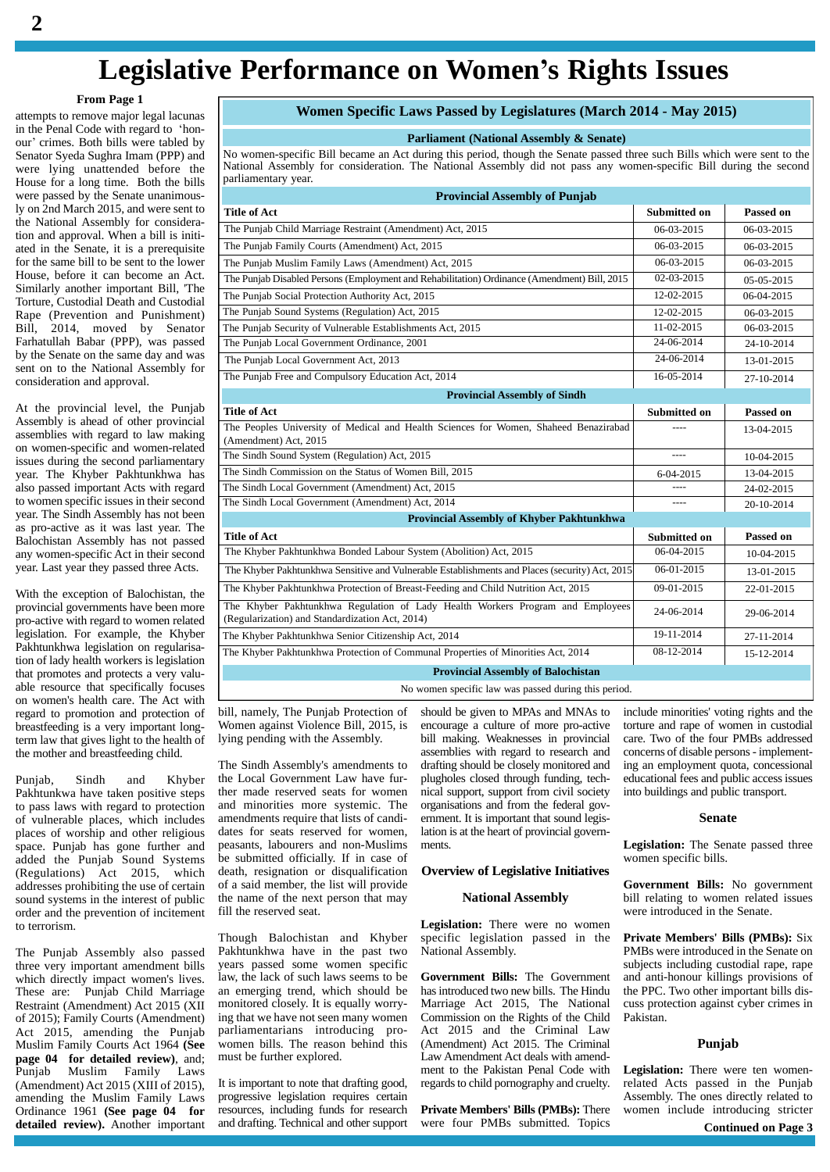# **Legislative Performance on Womení<sup>s</sup> Rights Issues**

### **From Page 1**

attempts to remove major legal lacunas **From Page 1**<br>attempts to remove major legal lacunas<br>in the Penal Code with regard to 'honattempts to remove major legal lacunas<br>in the Penal Code with regard to 'hon-<br>our' crimes. Both bills were tabled by Senator Syeda Sughra Imam (PPP) and were lying unattended before the House for a long time. Both the bills were passed by the Senate unanimously on 2nd March 2015, and were sent to the National Assembly for consideration and approval. When a bill is initi ated in the Senate, it is a prerequisite for the same bill to be sent to the lower House, before it can become an Act. Similarly another important Bill, 'The Torture, Custodial Death and Custodial Rape (Prevention and Punishment) Bill, 2014, moved by Senator Farhatullah Babar (PPP), was passed by the Senate on the same day and was sent on to the National Assembly for consideration and approval.

At the provincial level, the Punjab Assembly is ahead of other provincial assemblies with regard to law making on women-specific and women-related issues during the second parliamentary year. The Khyber Pakhtunkhwa has also passed important Acts with regard to women specific issues in their second year. The Sindh Assembly has not been as pro-active as it was last year. The Balochistan Assembly has not passed any women-specific Act in their second year. Last year they passed three Acts.

With the exception of Balochistan, the provincial governments have been more pro-active with regard to women related legislation. For example, the Khyber Pakhtunkhwa legislation on regularisation of lady health workers is legislation that promotes and protects a very valu able resource that specifically focuses on women's health care. The Act with regard to promotion and protection of breastfeeding is a very important longterm law that gives light to the health of the mother and breastfeeding child.

Punjab, Sindh and Khyber Pakhtunkwa have taken positive steps to pass laws with regard to protection of vulnerable places, which includes places of worship and other religious space. Punjab has gone further and added the Punjab Sound Systems (Regulations) Act 2015, which addresses prohibiting the use of certain sound systems in the interest of public order and the prevention of incitement to terrorism.

The Punjab Assembly also passed three very important amendment bills which directly impact women's lives. These are: Punjab Child Marriage Restraint (Amendment) Act 2015 (XII of 2015); Family Courts (Amendment) Act 2015, amending the Punjab Muslim Family Courts Act 1964 **(See page 04 for detailed review)**, and; Punjab Muslim Family Laws (Amendment) Act 2015 (XIII of 2015), amending the Muslim Family Laws Ordinance 1961 **(See page 04 for detailed review).** Another important

# **Women Specific Laws Passed by Legislatures (March 2014 - May 2015)**

### **Parliament (National Assembly & Senate)**

No women-specific Bill became an Act during this period, though the Senate passed three such Bills which were sent to the National Assembly for consideration. The National Assembly did not pass any women-specific Bill during the second parliamentary year.

| <b>Provincial Assembly of Punjab</b>                                                                                              |                     |            |  |
|-----------------------------------------------------------------------------------------------------------------------------------|---------------------|------------|--|
| <b>Title of Act</b>                                                                                                               | <b>Submitted on</b> | Passed on  |  |
| The Punjab Child Marriage Restraint (Amendment) Act, 2015                                                                         | 06-03-2015          | 06-03-2015 |  |
| The Punjab Family Courts (Amendment) Act, 2015                                                                                    | 06-03-2015          | 06-03-2015 |  |
| The Punjab Muslim Family Laws (Amendment) Act, 2015                                                                               | 06-03-2015          | 06-03-2015 |  |
| The Punjab Disabled Persons (Employment and Rehabilitation) Ordinance (Amendment) Bill, 2015                                      | 02-03-2015          | 05-05-2015 |  |
| The Punjab Social Protection Authority Act, 2015                                                                                  | 12-02-2015          | 06-04-2015 |  |
| The Punjab Sound Systems (Regulation) Act, 2015                                                                                   | 12-02-2015          | 06-03-2015 |  |
| The Punjab Security of Vulnerable Establishments Act, 2015                                                                        | 11-02-2015          | 06-03-2015 |  |
| The Punjab Local Government Ordinance, 2001                                                                                       | 24-06-2014          | 24-10-2014 |  |
| The Punjab Local Government Act, 2013                                                                                             | 24-06-2014          | 13-01-2015 |  |
| The Punjab Free and Compulsory Education Act, 2014                                                                                | 16-05-2014          | 27-10-2014 |  |
| <b>Provincial Assembly of Sindh</b>                                                                                               |                     |            |  |
| <b>Title of Act</b>                                                                                                               | Submitted on        | Passed on  |  |
| The Peoples University of Medical and Health Sciences for Women, Shaheed Benazirabad<br>(Amendment) Act, 2015                     |                     | 13-04-2015 |  |
| The Sindh Sound System (Regulation) Act, 2015                                                                                     | $---$               | 10-04-2015 |  |
| The Sindh Commission on the Status of Women Bill, 2015                                                                            | 6-04-2015           | 13-04-2015 |  |
| The Sindh Local Government (Amendment) Act. 2015                                                                                  |                     | 24-02-2015 |  |
| The Sindh Local Government (Amendment) Act, 2014                                                                                  | ----                | 20-10-2014 |  |
| Provincial Assembly of Khyber Pakhtunkhwa                                                                                         |                     |            |  |
| <b>Title of Act</b>                                                                                                               | <b>Submitted on</b> | Passed on  |  |
| The Khyber Pakhtunkhwa Bonded Labour System (Abolition) Act, 2015                                                                 | 06-04-2015          | 10-04-2015 |  |
| The Khyber Pakhtunkhwa Sensitive and Vulnerable Establishments and Places (security) Act, 2015                                    | 06-01-2015          | 13-01-2015 |  |
| The Khyber Pakhtunkhwa Protection of Breast-Feeding and Child Nutrition Act, 2015                                                 | $09 - 01 - 2015$    | 22-01-2015 |  |
| The Khyber Pakhtunkhwa Regulation of Lady Health Workers Program and Employees<br>(Regularization) and Standardization Act, 2014) | 24-06-2014          | 29-06-2014 |  |
| The Khyber Pakhtunkhwa Senior Citizenship Act, 2014                                                                               | 19-11-2014          | 27-11-2014 |  |
| The Khyber Pakhtunkhwa Protection of Communal Properties of Minorities Act, 2014                                                  | 08-12-2014          | 15-12-2014 |  |
| <b>Provincial Assembly of Balochistan</b>                                                                                         |                     |            |  |
| No women specific law was passed during this period.                                                                              |                     |            |  |

bill, namely, The Punjab Protection of Women against Violence Bill, 2015, is lying pending with the Assembly.

The Sindh Assembly's amendments to the Local Government Law have further made reserved seats for women and minorities more systemic. The amendments require that lists of candi dates for seats reserved for women, peasants, labourers and non-Muslims be submitted officially. If in case of death, resignation or disqualification of a said member, the list will provide the name of the next person that may fill the reserved seat.

Though Balochistan and Khyber Pakhtunkhwa have in the past two years passed some women specific law, the lack of such laws seems to be an emerging trend, which should be monitored closely. It is equally worrying that we have not seen many women parliamentarians introducing pro women bills. The reason behind this must be further explored.

It is important to note that drafting good, progressive legislation requires certain resources, including funds for research and drafting. Technical and other support should be given to MPAs and MNAs to encourage a culture of more pro-active bill making. Weaknesses in provincial assemblies with regard to research and drafting should be closely monitored and plugholes closed through funding, tech nical support, support from civil society organisations and from the federal gov ernment. It is important that sound legislation is at the heart of provincial governments.

# **Overview of Legislative Initiatives**

#### **National Assembly**

**Legislation:** There were no women specific legislation passed in the National Assembly.

**Government Bills:** The Government hasintroduced two new bills. The Hindu Marriage Act 2015, The National Commission on the Rights of the Child Act 2015 and the Criminal Law (Amendment) Act 2015. The Criminal Law Amendment Act deals with amend ment to the Pakistan Penal Code with regards to child pornography and cruelty.

**Private Members' Bills (PMBs):** There were four PMBs submitted. Topics

include minorities' voting rights and the torture and rape of women in custodial care. Two of the four PMBs addressed concerns of disable persons- implementing an employment quota, concessional educational fees and public access issues into buildings and public transport.

### **Senate**

**Legislation:** The Senate passed three women specific bills.

**Government Bills:** No government bill relating to women related issues were introduced in the Senate.

**Private Members' Bills (PMBs):** Six PMBs were introduced in the Senate on subjects including custodial rape, rape and anti-honour killings provisions of the PPC. Two other important bills dis cuss protection against cyber crimes in Pakistan.

# **Punjab**

**Legislation:** There were ten womenrelated Acts passed in the Punjab Assembly. The ones directly related to women include introducing stricter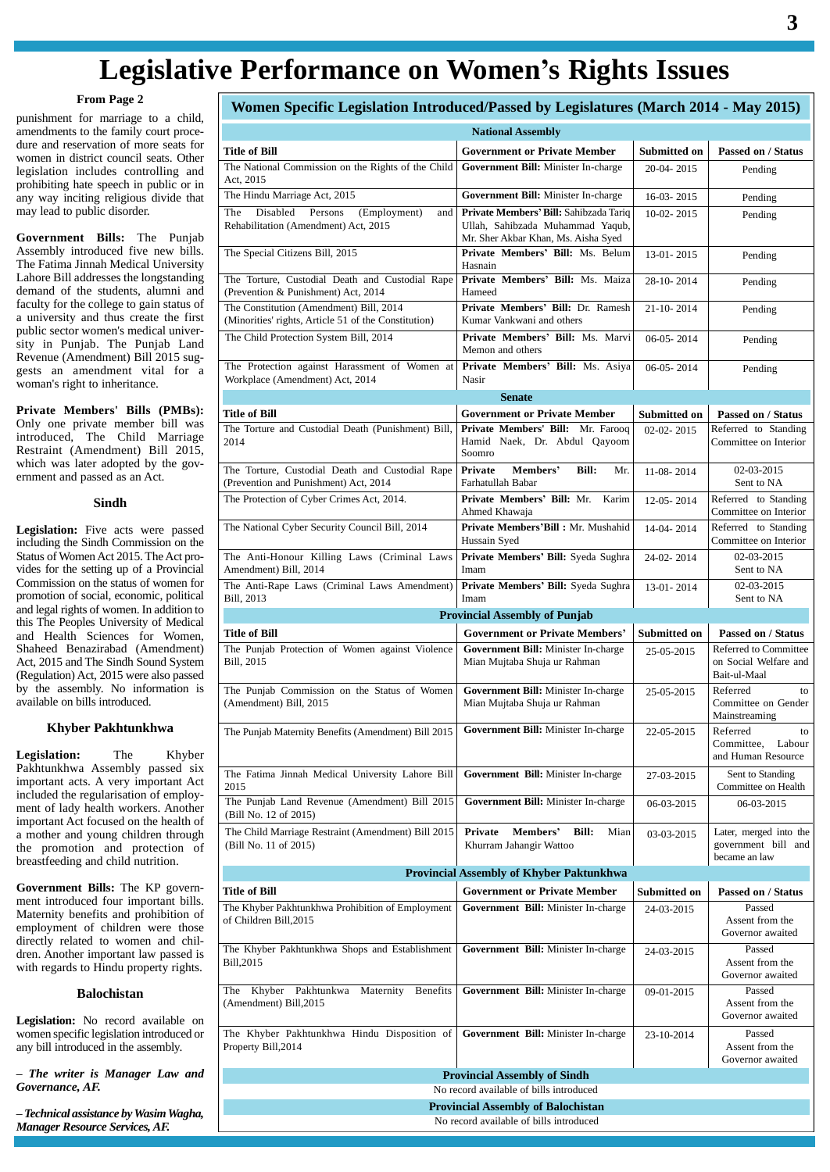# **Legislative Performance on Womení<sup>s</sup> Rights Issues**

### **From Page 2**

punishment for marriage to a child, amendments to the family court proce dure and reservation of more seats for women in district council seats. Other legislation includes controlling and prohibiting hate speech in public or in any way inciting religious divide that may lead to public disorder.

**Government Bills:** The Punjab Assembly introduced five new bills. The Fatima Jinnah Medical University Lahore Bill addresses the longstanding demand of the students, alumni and faculty for the college to gain status of a university and thus create the first public sector women's medical univer sity in Punjab. The Punjab Land Revenue (Amendment) Bill 2015 sug gests an amendment vital for a woman's right to inheritance.

**Private Members' Bills (PMBs):** Only one private member bill was introduced, The Child Marriage Restraint (Amendment) Bill 2015, which was later adopted by the gov ernment and passed as an Act.

### **Sindh**

**Legislation:** Five acts were passed including the Sindh Commission on the Status of Women Act 2015. The Act provides for the setting up of a Provincial Commission on the status of women for promotion of social, economic, political and legal rights of women. In addition to this The Peoples University of Medical and Health Sciences for Women, Shaheed Benazirabad (Amendment) Act, 2015 and The Sindh Sound System (Regulation) Act, 2015 were also passed by the assembly. No information is available on bills introduced.

# **Khyber Pakhtunkhwa**

**Legislation:** The Khyber Pakhtunkhwa Assembly passed six important acts. A very important Act included the regularisation of employ ment of lady health workers. Another important Act focused on the health of a mother and young children through the promotion and protection of breastfeeding and child nutrition.

**Government Bills:** The KP govern ment introduced four important bills.<br>Maternity benefits and prohibition of employment of children were those directly related to women and chil dren. Another important law passed is with regards to Hindu property rights.

#### **Balochistan**

**Legislation:** No record available on women specific legislation introduced or any bill introduced in the assembly. *ñ*

 *The writer is Manager Law and Governance, AF. ñ*

 *Technical assistance byWasimWagha, Manager Resource Services, AF.*

|                                                                                                 | <b>National Assembly</b>                                                             |                |                                                                |
|-------------------------------------------------------------------------------------------------|--------------------------------------------------------------------------------------|----------------|----------------------------------------------------------------|
| Title of Bill                                                                                   | <b>Government or Private Member</b>                                                  | Submitted on   | Passed on / Status                                             |
| The National Commission on the Rights of the Child                                              | Government Bill: Minister In-charge                                                  | 20-04-2015     | Pending                                                        |
| Act, 2015<br>The Hindu Marriage Act, 2015                                                       | Government Bill: Minister In-charge                                                  | 16-03-2015     | Pending                                                        |
| Disabled<br>Persons<br>(Employment)<br>The<br>and<br>Rehabilitation (Amendment) Act, 2015       | Private Members' Bill: Sahibzada Tariq<br>Ullah, Sahibzada Muhammad Yaqub,           | $10-02 - 2015$ | Pending                                                        |
|                                                                                                 | Mr. Sher Akbar Khan, Ms. Aisha Syed<br>Private Members' Bill: Ms. Belum              |                |                                                                |
| The Special Citizens Bill, 2015                                                                 | Hasnain<br>Private Members' Bill: Ms. Maiza                                          | 13-01-2015     | Pending                                                        |
| The Torture, Custodial Death and Custodial Rape<br>(Prevention & Punishment) Act, 2014          | Hameed                                                                               | 28-10-2014     | Pending                                                        |
| The Constitution (Amendment) Bill, 2014<br>(Minorities' rights, Article 51 of the Constitution) | Private Members' Bill: Dr. Ramesh<br>Kumar Vankwani and others                       | 21-10-2014     | Pending                                                        |
| The Child Protection System Bill, 2014                                                          | Private Members' Bill: Ms. Marvi<br>Memon and others                                 | $06-05-2014$   | Pending                                                        |
| The Protection against Harassment of Women at<br>Workplace (Amendment) Act, 2014                | Private Members' Bill: Ms. Asiya<br>Nasir                                            | $06-05-2014$   | Pending                                                        |
|                                                                                                 | <b>Senate</b>                                                                        |                |                                                                |
| Title of Bill                                                                                   | <b>Government or Private Member</b>                                                  | Submitted on   | <b>Passed on / Status</b>                                      |
| The Torture and Custodial Death (Punishment) Bill,<br>2014                                      | Private Members' Bill: Mr. Farooq<br>Hamid Naek, Dr. Abdul Qayoom<br>Soomro          | $02-02-2015$   | Referred to Standing<br>Committee on Interior                  |
| The Torture, Custodial Death and Custodial Rape<br>(Prevention and Punishment) Act, 2014        | Private<br>Members'<br>Bill:<br>Mr.<br>Farhatullah Babar                             | 11-08-2014     | 02-03-2015<br>Sent to NA                                       |
| The Protection of Cyber Crimes Act, 2014.                                                       | Private Members' Bill: Mr. Karim<br>Ahmed Khawaja                                    | 12-05-2014     | Referred to Standing<br>Committee on Interior                  |
| The National Cyber Security Council Bill, 2014                                                  | Private Members'Bill: Mr. Mushahid<br>Hussain Syed                                   | 14-04-2014     | Referred to Standing<br>Committee on Interior                  |
| The Anti-Honour Killing Laws (Criminal Laws<br>Amendment) Bill, 2014                            | Private Members' Bill: Syeda Sughra<br>Imam                                          | 24-02-2014     | 02-03-2015<br>Sent to NA                                       |
| The Anti-Rape Laws (Criminal Laws Amendment)<br>Bill, 2013                                      | Private Members' Bill: Syeda Sughra<br>Imam                                          | 13-01-2014     | 02-03-2015<br>Sent to NA                                       |
|                                                                                                 | <b>Provincial Assembly of Punjab</b>                                                 |                |                                                                |
| <b>Title of Bill</b>                                                                            | <b>Government or Private Members'</b>                                                | Submitted on   | <b>Passed on / Status</b>                                      |
| The Punjab Protection of Women against Violence<br>Bill, 2015                                   | Government Bill: Minister In-charge<br>Mian Mujtaba Shuja ur Rahman                  | 25-05-2015     | Referred to Committee<br>on Social Welfare and<br>Bait-ul-Maal |
| The Punjab Commission on the Status of Women<br>(Amendment) Bill, 2015                          | Government Bill: Minister In-charge<br>Mian Mujtaba Shuja ur Rahman                  | 25-05-2015     | Referred<br>to<br>Committee on Gender<br>Mainstreaming         |
| The Punjab Maternity Benefits (Amendment) Bill 2015                                             | Government Bill: Minister In-charge                                                  | 22-05-2015     | Referred<br>to<br>Committee,<br>Labour<br>and Human Resource   |
| The Fatima Jinnah Medical University Lahore Bill<br>2015                                        | Government Bill: Minister In-charge                                                  | 27-03-2015     | Sent to Standing<br>Committee on Health                        |
| The Punjab Land Revenue (Amendment) Bill 2015<br>(Bill No. 12 of 2015)                          | Government Bill: Minister In-charge                                                  | 06-03-2015     | 06-03-2015                                                     |
| The Child Marriage Restraint (Amendment) Bill 2015<br>(Bill No. 11 of 2015)                     | Private<br>Members'<br>Bill:<br>Mian<br>Khurram Jahangir Wattoo                      | 03-03-2015     | Later, merged into the<br>government bill and<br>became an law |
|                                                                                                 | Provincial Assembly of Khyber Paktunkhwa                                             |                |                                                                |
| Title of Bill                                                                                   | <b>Government or Private Member</b>                                                  | Submitted on   | <b>Passed on / Status</b>                                      |
| The Khyber Pakhtunkhwa Prohibition of Employment<br>of Children Bill, 2015                      | Government Bill: Minister In-charge                                                  | 24-03-2015     | Passed<br>Assent from the<br>Governor awaited                  |
| The Khyber Pakhtunkhwa Shops and Establishment<br>Bill,2015                                     | Government Bill: Minister In-charge                                                  | 24-03-2015     | Passed<br>Assent from the<br>Governor awaited                  |
| Khyber Pakhtunkwa<br>Maternity<br><b>Benefits</b><br>The<br>(Amendment) Bill, 2015              | Government Bill: Minister In-charge                                                  | 09-01-2015     | Passed<br>Assent from the<br>Governor awaited                  |
| The Khyber Pakhtunkhwa Hindu Disposition of<br>Property Bill, 2014                              | Government Bill: Minister In-charge                                                  | 23-10-2014     | Passed<br>Assent from the<br>Governor awaited                  |
|                                                                                                 | <b>Provincial Assembly of Sindh</b>                                                  |                |                                                                |
|                                                                                                 | No record available of bills introduced                                              |                |                                                                |
|                                                                                                 | <b>Provincial Assembly of Balochistan</b><br>No record available of bills introduced |                |                                                                |
|                                                                                                 |                                                                                      |                |                                                                |

**Women Specific Legislation Introduced/Passed by Legislatures (March 2014 - May 2015)**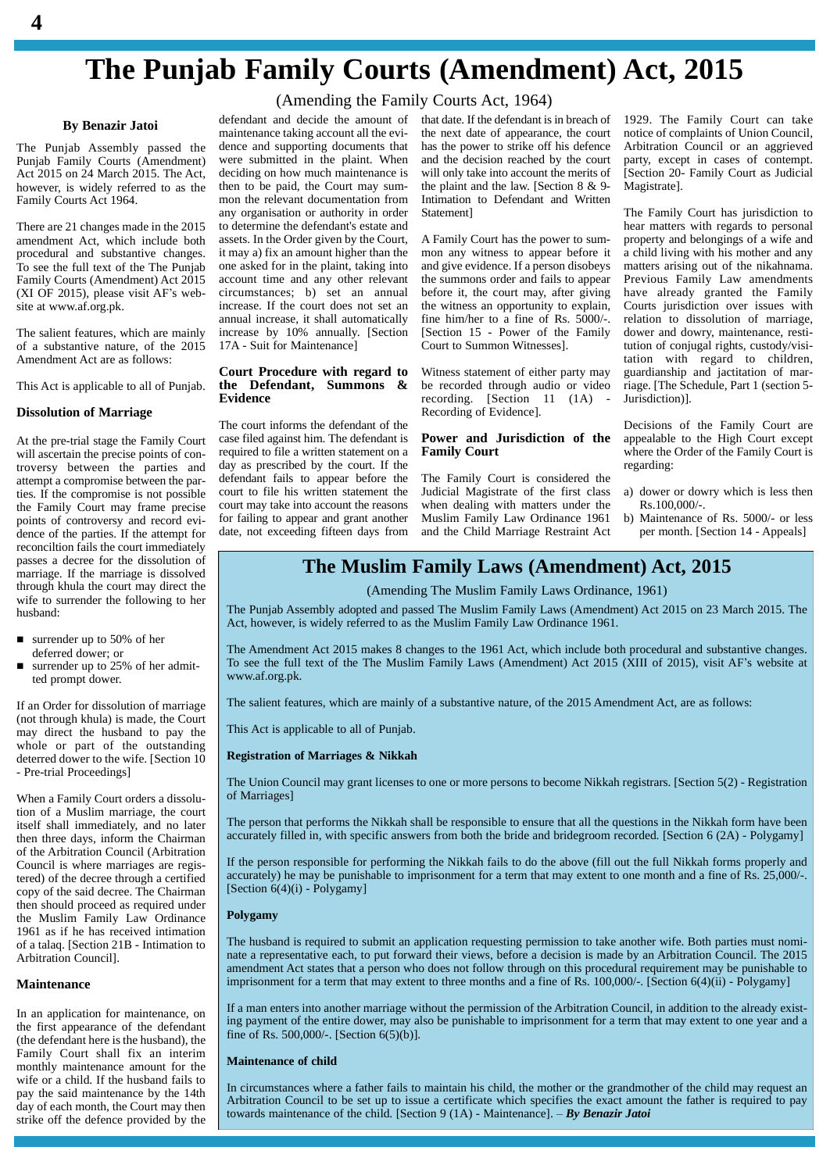# **The Punjab Family Courts (Amendment) Act, 2015**

# (Amending the Family Courts Act, 1964)

# **By Benazir Jatoi**

The Punjab Assembly passed the Punjab Family Courts (Amendment) Act 2015 on 24 March 2015. The Act, however, is widely referred to as the Family Courts Act 1964.

There are 21 changes made in the 2015 amendment Act, which include both procedural and substantive changes. To see the full text of the The Punjab Family Courts (Amendment) Act 2015  $(XI$  OF 2015), please visit AF's website at [www.af.org.pk.](http://www.af.org.pk.)

The salient features, which are mainly of a substantive nature, of the 2015 Amendment Act are as follows:

This Act is applicable to all of Punjab.

### **Dissolution of Marriage**

At the pre-trial stage the Family Court will ascertain the precise points of controversy between the parties and attempt a compromise between the parties. If the compromise is not possible the Family Court may frame precise points of controversy and record evi dence of the parties. If the attempt for reconciltion fails the court immediately<br>passes a decree for the dissolution of marriage. If the marriage is dissolved through khula the court may direct the wife to surrender the following to her husband:

- surrender up to 50% of her deferred dower; or
- surrender up to 25% of her admitted prompt dower.

If an Order for dissolution of marriage (not through khula) is made, the Court may direct the husband to pay the whole or part of the outstanding deterred dower to the wife. [Section 10 - Pre-trial Proceedings]

When a Family Court orders a dissolution of a Muslim marriage, the court itself shall immediately, and no later then three days, inform the Chairman of the Arbitration Council (Arbitration Council is where marriages are registered) of the decree through a certified copy of the said decree. The Chairman then should proceed as required under the Muslim Family Law Ordinance 1961 as if he has received intimation of a talaq. [Section 21B - Intimation to Arbitration Council].

# **Maintenance**

In an application for maintenance, on the first appearance of the defendant (the defendant here is the husband), the Family Court shall fix an interim monthly maintenance amount for the wife or a child. If the husband fails to pay the said maintenance by the 14th strike off the defence provided by the defendant and decide the amount of maintenance taking account all the evi dence and supporting documents that were submitted in the plaint. When deciding on how much maintenance is then to be paid, the Court may sum mon the relevant documentation from any organisation or authority in order to determine the defendant's estate and assets. In the Order given by the Court, it may a) fix an amount higher than the one asked for in the plaint, taking into account time and any other relevant circumstances; b) set an annual increase. If the court does not set an annual increase, it shall automatically increase by 10% annually. [Section 17A - Suit for Maintenance]

### **Court Procedure with regard to the Defendant, Summons & Evidence**

The court informs the defendant of the case filed against him. The defendant is required to file a written statement on a day as prescribed by the court. If the defendant fails to appear before the court to file his written statement the court may take into account the reasons for failing to appear and grant another date, not exceeding fifteen days from

that date. If the defendant is in breach of the next date of appearance, the court has the power to strike off his defence and the decision reached by the court will only take into account the merits of the plaint and the law. [Section 8 & 9- Intimation to Defendant and Written Statement]

A Family Court has the power to sum mon any witness to appear before it and give evidence. If a person disobeys the summons order and fails to appear before it, the court may, after giving the witness an opportunity to explain, fine him/her to a fine of Rs. 5000/-. [Section 15 - Power of the Family Court to Summon Witnesses].

Witness statement of either party may be recorded through audio or video recording. [Section 11 (1A) - Recording of Evidence].

### **Power and Jurisdiction of the Family Court**

The Family Court is considered the Judicial Magistrate of the first class when dealing with matters under the Muslim Family Law Ordinance 1961 and the Child Marriage Restraint Act 1929. The Family Court can take notice of complaints of Union Council, Arbitration Council or an aggrieved party, except in cases of contempt. [Section 20- Family Court as Judicial Magistrate].

The Family Court has jurisdiction to hear matters with regards to personal property and belongings of a wife and a child living with his mother and any matters arising out of the nikahnama. Previous Family Law amendments have already granted the Family Courts jurisdiction over issues with relation to dissolution of marriage, dower and dowry, maintenance, restitution of conjugal rights, custody/visitation with regard to children, guardianship and jactitation of marriage. [The Schedule, Part 1 (section 5- Jurisdiction)].

Decisions of the Family Court are appealable to the High Court except where the Order of the Family Court is regarding:

- a) dower or dowry which is less then Rs.100,000/-.
- b) Maintenance of Rs. 5000/- or less per month. [Section 14 - Appeals]

# **The Muslim Family Laws (Amendment) Act, 2015**

# (Amending The Muslim Family Laws Ordinance, 1961)

The Punjab Assembly adopted and passed The Muslim Family Laws (Amendment) Act 2015 on 23 March 2015. The Act, however, is widely referred to as the Muslim Family Law Ordinance 1961.

The Amendment Act 2015 makes 8 changes to the 1961 Act, which include both procedural and substantive changes. The Amendment Act 2015 makes 8 changes to the 1961 Act, which include both procedural and substantive changes.<br>To see the full text of the The Muslim Family Laws (Amendment) Act 2015 (XIII of 2015), visit AF's website at [www.af.org.pk.](http://www.af.org.pk.)

The salient features, which are mainly of a substantive nature, of the 2015 Amendment Act, are as follows:

This Act is applicable to all of Punjab.

#### **Registration of Marriages & Nikkah**

The Union Council may grant licenses to one or more persons to become Nikkah registrars. [Section 5(2) - Registration of Marriages]

The person that performs the Nikkah shall be responsible to ensure that all the questions in the Nikkah form have been accurately filled in, with specific answers from both the bride and bridegroom recorded. [Section 6 (2A) - Polygamy]

If the person responsible for performing the Nikkah fails to do the above (fill out the full Nikkah forms properly and accurately) he may be punishable to imprisonment for a term that may extent to one month and a fine of Rs. 25,000/-. [Section  $6(4)(i)$  - Polygamy]

### **Polygamy**

The husband is required to submit an application requesting permission to take another wife. Both parties must nomi nate a representative each, to put forward their views, before a decision is made by an Arbitration Council. The 2015 amendment Act states that a person who does not follow through on this procedural requirement may be punishable to imprisonment for a term that may extent to three months and a fine of Rs. 100,000/-. [Section 6(4)(ii) - Polygamy]

If a man enters into another marriage without the permission of the Arbitration Council, in addition to the already existing payment of the entire dower, may also be punishable to imprisonment for a term that may extent to one year and a fine of Rs. 500,000/-. [Section 6(5)(b)].

#### **Maintenance of child**

day of each month, the Court may then<br>towards maintenance of the child. [Section  $9(1A)$  - Maintenance]. - By Benazir Jatoi In circumstances where a father fails to maintain his child, the mother or the grandmother of the child may request an towards maintenance of the child. [Section <sup>9</sup> (1A) - Maintenance]. <sup>ñ</sup> *By Benazir Jatoi* Arbitration Council to be set up to issue a certificate which specifies the exact amount the father is required to pay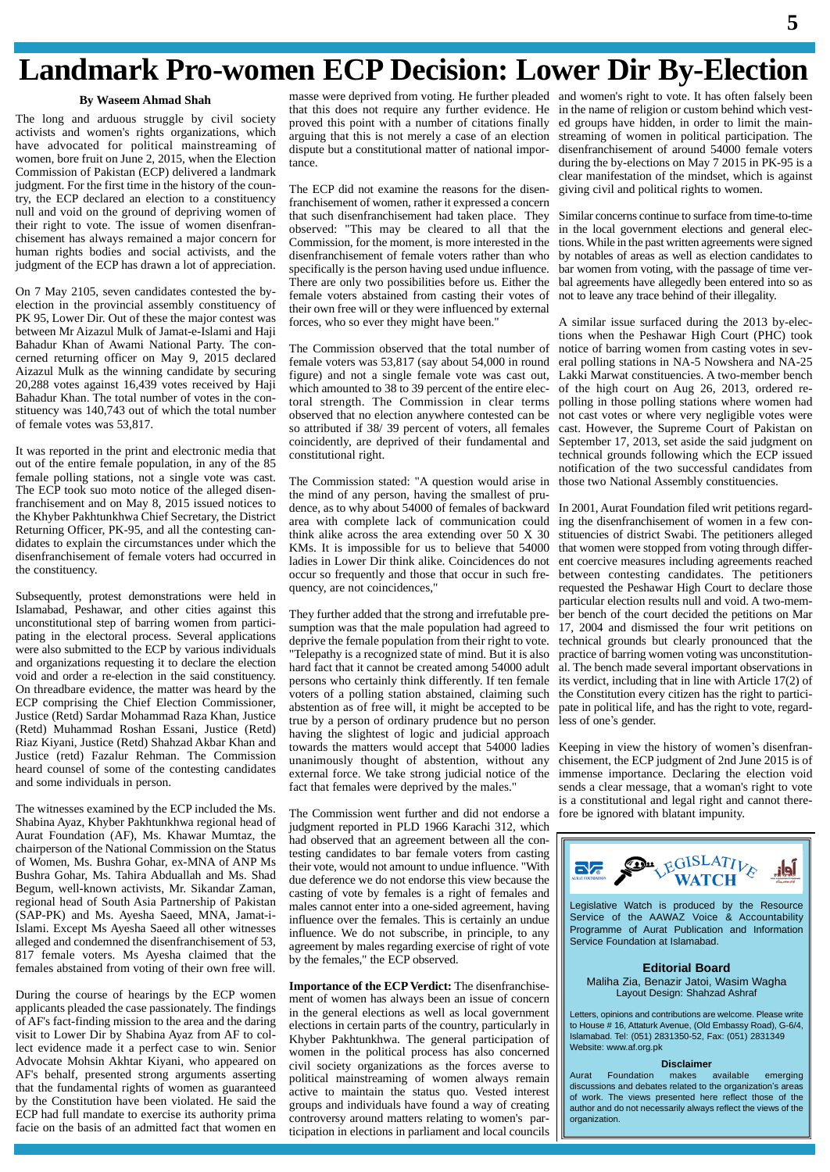# **Landmark Pro-women ECP Decision: Lower Dir By-Election**

# **By Waseem Ahmad Shah**

The long and arduous struggle by civil society activists and women's rights organizations, which have advocated for political mainstreaming of women, bore fruit on June 2, 2015, when the Election Commission of Pakistan (ECP) delivered a landmark judgment. For the first time in the history of the country, the ECP declared an election to a constituency null and void on the ground of depriving women of  $\frac{1}{100}$ their right to vote. The issue of women disenfranchisement has always remained a major concern for human rights bodies and social activists, and the judgment of the ECP has drawn a lot of appreciation.

On 7 May 2105, seven candidates contested the by election in the provincial assembly constituency of PK 95, Lower Dir. Out of these the major contest was between Mr Aizazul Mulk of Jamat-e-Islami and Haji Bahadur Khan of Awami National Party. The concerned returning officer on May 9, 2015 declared Aizazul Mulk as the winning candidate by securing 20,288 votes against 16,439 votes received by Haji Bahadur Khan. The total number of votes in the con stituency was 140,743 out of which the total number of female votes was 53,817.

It was reported in the print and electronic media that out of the entire female population, in any of the 85 female polling stations, not a single vote was cast. The ECP took suo moto notice of the alleged disenfranchisement and on May 8, 2015 issued notices to the Khyber Pakhtunkhwa Chief Secretary, the District Returning Officer, PK-95, and all the contesting can didates to explain the circumstances under which the disenfranchisement of female voters had occurred in the constituency.

Subsequently, protest demonstrations were held in Islamabad, Peshawar, and other cities against this unconstitutional step of barring women from participating in the electoral process. Several applications were also submitted to the ECP by various individuals and organizations requesting it to declare the election void and order a re-election in the said constituency. On threadbare evidence, the matter was heard by the ECP comprising the Chief Election Commissioner, Justice (Retd) Sardar Mohammad Raza Khan, Justice (Retd) Muhammad Roshan Essani, Justice (Retd) Riaz Kiyani, Justice (Retd) Shahzad Akbar Khan and Justice (retd) Fazalur Rehman. The Commission heard counsel of some of the contesting candidates and some individuals in person.

The witnesses examined by the ECP included the Ms. Shabina Ayaz, Khyber Pakhtunkhwa regional head of Aurat Foundation (AF), Ms. Khawar Mumtaz, the chairperson of the National Commission on the Status of Women, Ms. Bushra Gohar, ex-MNA of ANP Ms Bushra Gohar, Ms. Tahira Abduallah and Ms. Shad Begum, well-known activists, Mr. Sikandar Zaman, regional head of South Asia Partnership of Pakistan (SAP-PK) and Ms. Ayesha Saeed, MNA, Jamat-i-Islami. Except Ms Ayesha Saeed all other witnesses alleged and condemned the disenfranchisement of 53, 817 female voters. Ms Ayesha claimed that the females abstained from voting of their own free will.

During the course of hearings by the ECP women applicants pleaded the case passionately. The findings of AF's fact-finding mission to the area and the daring visit to Lower Dir by Shabina Ayaz from AF to collect evidence made it a perfect case to win. Senior Advocate Mohsin Akhtar Kiyani, who appeared on AF's behalf, presented strong arguments asserting that the fundamental rights of women as guaranteed by the Constitution have been violated. He said the ECP had full mandate to exercise its authority prima facie on the basis of an admitted fact that women en

masse were deprived from voting. He further pleaded and women's right to vote. It has often falsely been that this does not require any further evidence. He proved this point with a number of citations finally arguing that this is not merely a case of an election dispute but a constitutional matter of national importance.

The ECP did not examine the reasons for the disenfranchisement of women, rather it expressed a concern that such disenfranchisement had taken place. They observed: "This may be cleared to all that the Commission, for the moment, is more interested in the disenfranchisement of female voters rather than who specifically is the person having used undue influence. There are only two possibilities before us. Either the female voters abstained from casting their votes of their own free will or they were influenced by external forces, who so ever they might have been."

The Commission observed that the total number of female voters was 53,817 (say about 54,000 in round figure) and not a single female vote was cast out, which amounted to 38 to 39 percent of the entire electoral strength. The Commission in clear terms observed that no election anywhere contested can be so attributed if 38/ 39 percent of voters, all females coincidently, are deprived of their fundamental and constitutional right.

The Commission stated: "A question would arise in the mind of any person, having the smallest of prudence, as to why about 54000 of females of backward area with complete lack of communication could think alike across the area extending over 50 X 30 KMs. It is impossible for us to believe that 54000 ladies in Lower Dir think alike. Coincidences do not occur so frequently and those that occur in such fre quency, are not coincidences,"

They further added that the strong and irrefutable pre sumption was that the male population had agreed to deprive the female population from their right to vote. "Telepathy is a recognized state of mind. But it is also hard fact that it cannot be created among 54000 adult persons who certainly think differently. If ten female voters of a polling station abstained, claiming such abstention as of free will, it might be accepted to be pate in political life, true by a person of ordinary prudence but no person less of one's gender. true by a person of ordinary prudence but no person having the slightest of logic and judicial approach towards the matters would accept that 54000 ladies unanimously thought of abstention, without any external force. We take strong judicial notice of the fact that females were deprived by the males."

The Commission went further and did not endorse a judgment reported in PLD 1966 Karachi 312, which had observed that an agreement between all the contesting candidates to bar female voters from casting their vote, would not amount to undue influence. "With due of  $\mathbf{S}$  with  $\mathbf{W}$  watch  $\mathbf{V}$  watch with due influence we do not endorse this view because the their vote, would not amount to undue influence. "With due deference we do not endorse this view because the casting of vote by females is a right of females and males cannot enter into a one-sided agreement, having influence over the females. This is certainly an undue influence. We do not subscribe, in principle, to any agreement by males regarding exercise of right of vote by the females," the ECP observed.

**Importance of the ECP Verdict:** The disenfranchise ment of women has always been an issue of concern in the general elections as well as local government elections in certain parts of the country, particularly in Khyber Pakhtunkhwa. The general participation of women in the political process has also concerned civil society organizations as the forces averse to political mainstreaming of women always remain active to maintain the status quo. Vested interest groups and individuals have found a way of creating controversy around matters relating to women's participation in elections in parliament and local councils

in the name of religion or custom behind which vest ed groups have hidden, in order to limit the main streaming of women in political participation. The disenfranchisement of around 54000 female voters during the by-elections on May 7 2015 in PK-95 is a clear manifestation of the mindset, which is against giving civil and political rights to women.

Similar concerns continue to surface from time-to-time in the local government elections and general elections.While in the past written agreements were signed by notables of areas as well as election candidates to bar women from voting, with the passage of time ver bal agreements have allegedly been entered into so as not to leave any trace behind of their illegality.

A similar issue surfaced during the 2013 by-elections when the Peshawar High Court (PHC) took notice of barring women from casting votes in sev eral polling stations in NA-5 Nowshera and NA-25 Lakki Marwat constituencies. A two-member bench of the high court on Aug 26, 2013, ordered re polling in those polling stations where women had not cast votes or where very negligible votes were cast. However, the Supreme Court of Pakistan on September 17, 2013, set aside the said judgment on technical grounds following which the ECP issued notification of the two successful candidates from those two National Assembly constituencies.

In 2001, Aurat Foundation filed writ petitions regarding the disenfranchisement of women in a few con stituencies of district Swabi. The petitioners alleged that women were stopped from voting through differ ent coercive measures including agreements reached between contesting candidates. The petitioners requested the Peshawar High Court to declare those particular election results null and void. A two-mem ber bench of the court decided the petitions on Mar 17, 2004 and dismissed the four writ petitions on technical grounds but clearly pronounced that the practice of barring women voting was unconstitution al. The bench made several important observations in its verdict, including that in line with Article 17(2) of the Constitution every citizen has the right to partici-<br>pate in political life, and has the right to vote, regard-<br>less of one's gender. pate in political life, and has the right to vote, regard-

Keeping in view the history of women's disenfranchisement, the ECP judgment of 2nd June 2015 is of immense importance. Declaring the election void sends a clear message, that a woman's right to vote is a constitutional and legal right and cannot therefore be ignored with blatant impunity.



Legislative Watch is produced by the Resource Service of the AAWAZ Voice & Accountability Programme of Aurat Publication and Information Service Foundation at Islamabad.

**Editorial Board** Maliha Zia, Benazir Jatoi, Wasim Wagha Layout Design: Shahzad Ashraf

Letters, opinions and contributions are welcome. Please write to House # 16, Attaturk Avenue, (Old Embassy Road), G-6/4, Islamabad. Tel: (051) 2831350-52, Fax: (051) 2831349 Website: [www.af.org.pk](http://www.af.org.pk)

**Disclaimer**<br>makes available Aurat Foundation makes available emerging discussions and debates related to the organization's areas of work. The views presented here reflect those of the author and do not necessarily always reflect the views of the organization.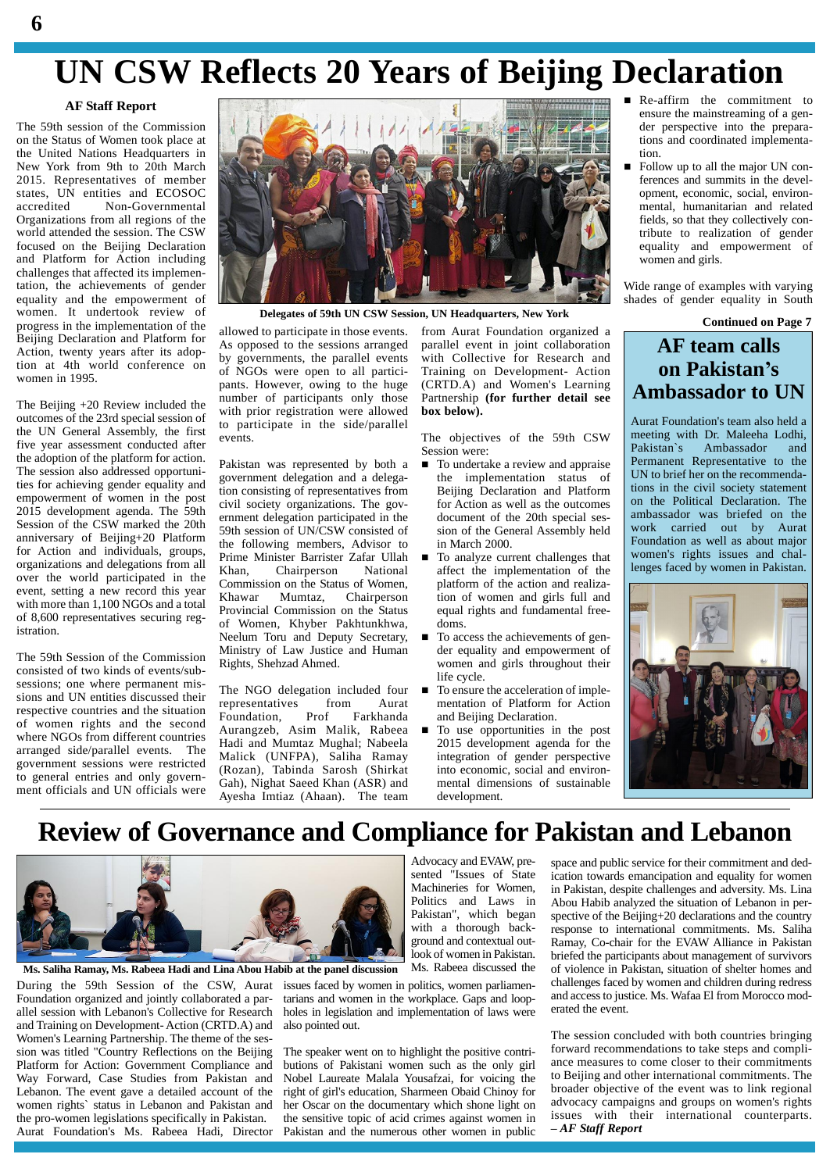# **UN CSW Reflects 20 Years of Beijing Declaration**

# **AF Staff Report**

The 59th session of the Commission on the Status of Women took place at the United Nations Headquarters in New York from 9th to 20th March 2015. Representatives of member states, UN entities and ECOSOC<br>accredited Non-Governmental Non-Governmental Organizations from all regions of the world attended the session. The CSW focused on the Beijing Declaration and Platform for Action including challenges that affected its implementation, the achievements of gender equality and the empowerment of women. It undertook review of progress in the implementation of the Beijing Declaration and Platform for Action, twenty years after its adop-Action, twenty years after its adop-<br>tion at 4th world conference on women in 1995.

The Beijing +20 Review included the outcomes of the 23rd special session of the UN General Assembly, the first five year assessment conducted after the adoption of the platform for action. The session also addressed opportunities for achieving gender equality and empowerment of women in the post 2015 development agenda. The 59th Session of the CSW marked the 20th anniversary of Beijing+20 Platform for Action and individuals, groups, organizations and delegations from all over the world participated in the event, setting a new record this year Khawar with more than 1,100 NGOs and a total of 8,600 representatives securing registration.

The 59th Session of the Commission consisted of two kinds of events/sub sessions; one where permanent mis sions and UN entities discussed their respective countries and the situation of women rights and the second where NGOs from different countries arranged side/parallel events. The government sessions were restricted to general entries and only govern ment officials and UN officials were



**Delegates of 59th UN CSW Session, UN Headquarters, New York**

allowed to participate in those events. As opposed to the sessions arranged governments, the parallel events of NGOs were open to all participants. However, owing to the huge number of participants only those with prior registration were allowed to participate in the side/parallel events.

Pakistan was represented by both a government delegation and a delegation consisting of representatives from civil society organizations. The gov ernment delegation participated in the 59th session of UN/CSW consisted of the following members, Advisor to Prime Minister Barrister Zafar Ullah Chairperson National Commission on the Status of Women,<br>Khawar Mumtaz, Chairperson Chairperson Provincial Commission on the Status of Women, Khyber Pakhtunkhwa, Neelum Toru and Deputy Secretary, Ministry of Law Justice and Human Rights, Shehzad Ahmed.

The NGO delegation included four representatives from Aurat<br>Foundation, Prof Farkhanda Foundation, Prof Farkhanda Aurangzeb, Asim Malik, Rabeea Hadi and Mumtaz Mughal; Nabeela Malick (UNFPA), Saliha Ramay (Rozan), Tabinda Sarosh (Shirkat Gah), Nighat Saeed Khan (ASR) and Ayesha Imtiaz (Ahaan). The team

from Aurat Foundation organized a parallel event in joint collaboration with Collective for Research and Training on Development- Action (CRTD.A) and Women's Learning Partnership **(for further detail see box below).**

The objectives of the 59th CSW meeting will<br>Session were: Pakistan's Session were:

- To undertake a review and appraise the implementation status of Beijing Declaration and Platform for Action as well as the outcomes document of the 20th special ses sion of the General Assembly held in March 2000.
- To analyze current challenges that affect the implementation of the platform of the action and realization of women and girls full and equal rights and fundamental free doms.
- To access the achievements of gen der equality and empowerment of women and girls throughout their life cycle.
- To ensure the acceleration of imple mentation of Platform for Action and Beijing Declaration.
- To use opportunities in the post 2015 development agenda for the integration of gender perspective into economic, social and environ mental dimensions of sustainable development.

Machineries for Women, Politics and Laws in Pakistan", which began with a thorough background and contextual outlook of women in Pakistan.

- Re-affirm the commitment to ensure the mainstreaming of a gen der perspective into the preparations and coordinated implementation.
- Follow up to all the major UN conferences and summits in the devel opment, economic, social, environ mental, humanitarian and related fields, so that they collectively contribute to realization of gender equality and empowerment of women and girls.

Wide range of examples with varying shades of gender equality in South

**Continued on Page 7**

# **AF team calls on Pakistaní<sup>s</sup> Ambassador to UN**

Aurat Foundation's team also held a meeting with Dr. Maleeha Lodhi, Ambassador and Permanent Representative to the UN to brief her on the recommendations in the civil society statement on the Political Declaration. The ambassador was briefed on the work carried out by Aurat Foundation as well as about major women's rights issues and challenges faced by women in Pakistan.



# **Review of Governance and Compliance for Pakistan and Lebanon**



**Ms. Saliha Ramay, Ms. Rabeea Hadi and Lina Abou Habib at the panel discussion**

During the 59th Session of the CSW, Aurat issues faced by women in politics, women parliamen-Foundation organized and jointly collaborated a par allel session with Lebanon's Collective for Research and Training on Development- Action (CRTD.A) and Women's Learning Partnership. The theme of the ses sion was titled "Country Reflections on the Beijing Platform for Action: Government Compliance and Way Forward, Case Studies from Pakistan and Lebanon. The event gave a detailed account of the women rights` status in Lebanon and Pakistan and the pro-women legislations specifically in Pakistan. Aurat Foundation's Ms. Rabeea Hadi, Director

Ms. Rabeea discussed the tarians and women in the workplace. Gaps and loop holes in legislation and implementation of laws were also pointed out.

The speaker went on to highlight the positive contri butions of Pakistani women such as the only girl Nobel Laureate Malala Yousafzai, for voicing the right of girl's education, Sharmeen Obaid Chinoy for her Oscar on the documentary which shone light on the sensitive topic of acid crimes against women in Pakistan and the numerous other women in public

Advocacy and EVAW, pre-<br>spa sented "Issues of State ication space and public service for their commitment and dedication towards emancipation and equality for women in Pakistan, despite challenges and adversity. Ms. Lina Abou Habib analyzed the situation of Lebanon in per spective of the Beijing+20 declarations and the country response to international commitments. Ms. Saliha Ramay, Co-chair for the EVAW Alliance in Pakistan briefed the participants about management of survivors of violence in Pakistan, situation of shelter homes and challenges faced by women and children during redress and accessto justice. Ms. Wafaa El from Morocco mod erated the event.

> The session concluded with both countries bringing forward recommendations to take steps and compli ance measures to come closer to their commitments to Beijing and other international commitments. The broader objective of the event was to link regional advocacy campaigns and groups on women's rights issues with their international counterparts. *<sup>ñ</sup>AF Staff Report*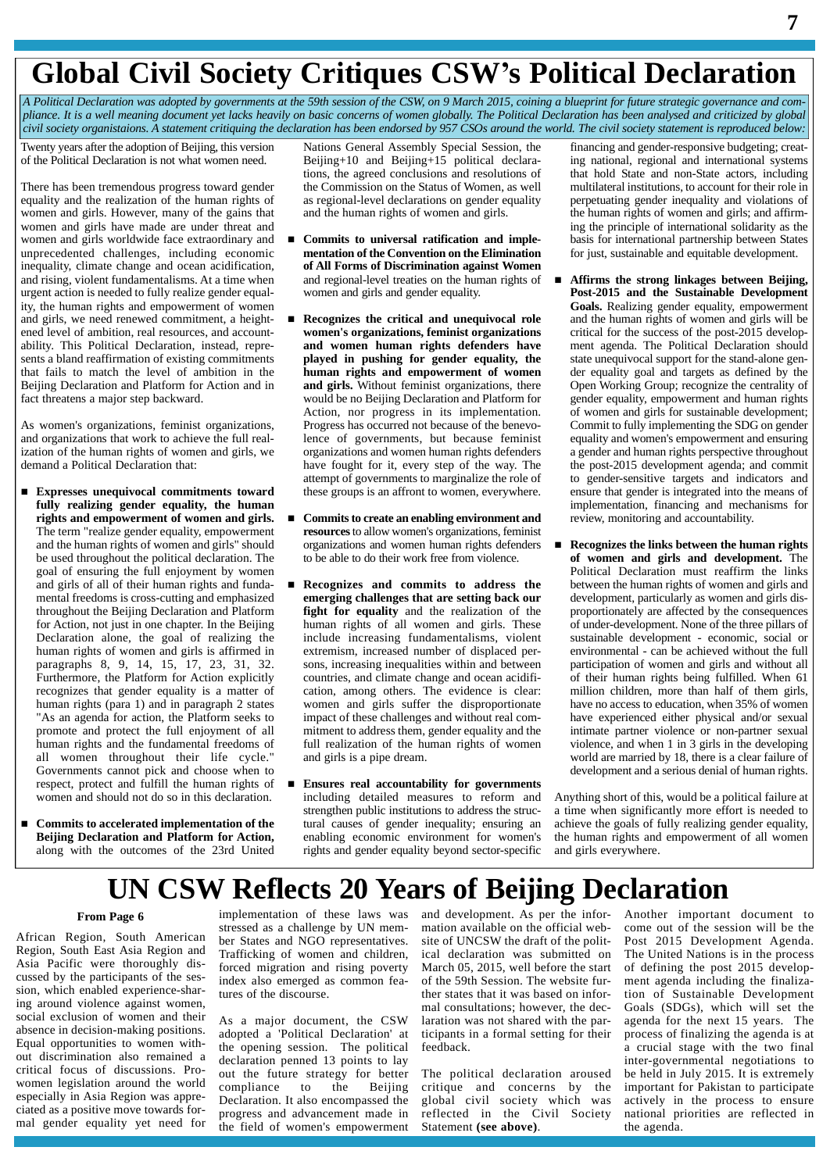# **Global Civil Society Critiques CSWí<sup>s</sup> Political Declaration**

A Political Declaration was adopted by governments at the 59th session of the CSW, on 9 March 2015, coining a blueprint for future strategic governance and compliance. It is a well meaning document yet lacks heavily on basic concerns of women globally. The Political Declaration has been analysed and criticized by global civil society organistaions. A statement critiquing the declaration has been endorsed by 957 CSOs around the world. The civil society statement is reproduced below:

Twenty years after the adoption of Beijing, this version of the Political Declaration is not what women need.

There has been tremendous progress toward gender equality and the realization of the human rights of women and girls. However, many of the gains that women and girls have made are under threat and women and girls worldwide face extraordinary and unprecedented challenges, including economic inequality, climate change and ocean acidification, and rising, violent fundamentalisms. At a time when urgent action is needed to fully realize gender equality, the human rights and empowerment of women and girls, we need renewed commitment, a height ened level of ambition, real resources, and account ability. This Political Declaration, instead, repre sents a bland reaffirmation of existing commitments that fails to match the level of ambition in the Beijing Declaration and Platform for Action and in fact threatens a major step backward.

As women's organizations, feminist organizations, and organizations that work to achieve the full realization of the human rights of women and girls, we demand a Political Declaration that:

- **Expresses unequivocal commitments toward fully realizing gender equality, the human rights and empowerment of women and girls.** The term "realize gender equality, empowerment and the human rights of women and girls" should be used throughout the political declaration. The goal of ensuring the full enjoyment by women and girls of all of their human rights and funda mental freedoms is cross-cutting and emphasized throughout the Beijing Declaration and Platform for Action, not just in one chapter. In the Beijing Declaration alone, the goal of realizing the human rights of women and girls is affirmed in paragraphs 8, 9, 14, 15, 17, 23, 31, 32. Furthermore, the Platform for Action explicitly recognizes that gender equality is a matter of human rights (para 1) and in paragraph 2 states "As an agenda for action, the Platform seeks to promote and protect the full enjoyment of all human rights and the fundamental freedoms of all women throughout their life cycle." Governments cannot pick and choose when to respect, protect and fulfill the human rights of women and should not do so in this declaration.
- **Commits to accelerated implementation of the Beijing Declaration and Platform for Action,** along with the outcomes of the 23rd United

Nations General Assembly Special Session, the Beijing+10 and Beijing+15 political declarations, the agreed conclusions and resolutions of the Commission on the Status of Women, as well as regional-level declarations on gender equality and the human rights of women and girls.

- **Commits to universal ratification and imple mentation of the Convention on the Elimination of All Forms of Discrimination against Women** and regional-level treaties on the human rights of women and girls and gender equality.
- **Recognizes the critical and unequivocal role women's organizations, feminist organizations and women human rights defenders have played in pushing for gender equality, the human rights and empowerment of women and girls.** Without feminist organizations, there would be no Beijing Declaration and Platform for Action, nor progress in its implementation. Progress has occurred not because of the benevolence of governments, but because feminist organizations and women human rights defenders have fought for it, every step of the way. The attempt of governments to marginalize the role of these groups is an affront to women, everywhere.
- **Commitsto create an enabling environment and resources**to allow women's organizations, feminist organizations and women human rights defenders to be able to do their work free from violence.
- **Recognizes and commits to address the emerging challenges that are setting back our fight for equality** and the realization of the human rights of all women and girls. These include increasing fundamentalisms, violent extremism, increased number of displaced per sons, increasing inequalities within and between countries, and climate change and ocean acidifi cation, among others. The evidence is clear: women and girls suffer the disproportionate impact of these challenges and without real com mitment to address them, gender equality and the full realization of the human rights of women and girls is a pipe dream.
- **Ensures real accountability for governments** including detailed measures to reform and strengthen public institutions to address the structural causes of gender inequality; ensuring an enabling economic environment for women's rights and gender equality beyond sector-specific

financing and gender-responsive budgeting; creating national, regional and international systems that hold State and non-State actors, including multilateral institutions, to account for their role in perpetuating gender inequality and violations of the human rights of women and girls; and affirming the principle of international solidarity as the basis for international partnership between States for just, sustainable and equitable development.

- **Affirms the strong linkages between Beijing, Post-2015 and the Sustainable Development Goals.** Realizing gender equality, empowerment and the human rights of women and girls will be critical for the success of the post-2015 develop ment agenda. The Political Declaration should state unequivocal support for the stand-alone gen der equality goal and targets as defined by the Open Working Group; recognize the centrality of gender equality, empowerment and human rights of women and girls for sustainable development; Commit to fully implementing the SDG on gender equality and women's empowerment and ensuring a gender and human rights perspective throughout the post-2015 development agenda; and commit to gender-sensitive targets and indicators and ensure that gender is integrated into the means of implementation, financing and mechanisms for review, monitoring and accountability.
- **Recognizes the links between the human rights of women and girls and development.** The Political Declaration must reaffirm the links between the human rights of women and girls and development, particularly as women and girls dis proportionately are affected by the consequences of under-development. None of the three pillars of sustainable development - economic, social or environmental - can be achieved without the full participation of women and girls and without all of their human rights being fulfilled. When 61 million children, more than half of them girls, have no access to education, when 35% of women have experienced either physical and/or sexual intimate partner violence or non-partner sexual violence, and when 1 in 3 girls in the developing world are married by 18, there is a clear failure of development and a serious denial of human rights.

Anything short of this, would be a political failure at a time when significantly more effort is needed to achieve the goals of fully realizing gender equality, the human rights and empowerment of all women and girls everywhere.

# **UN CSW Reflects 20 Years of Beijing Declaration**

### **From Page 6**

African Region, South American Region, South East Asia Region and Asia Pacific were thoroughly dis cussed by the participants of the ses sion, which enabled experience-sharing around violence against women, social exclusion of women and their absence in decision-making positions. Equal opportunities to women with out discrimination also remained a critical focus of discussions. Pro women legislation around the world especially in Asia Region was appre ciated as a positive move towards for mal gender equality yet need for

implementation of these laws was stressed as a challenge by UN mem ber States and NGO representatives. Trafficking of women and children, forced migration and rising poverty index also emerged as common features of the discourse.

As a major document, the CSW adopted a 'Political Declaration' at the opening session. The political declaration penned 13 points to lay out the future strategy for better<br>compliance to the Beijing compliance Declaration. It also encompassed the progress and advancement made in the field of women's empowerment

and development. As per the infor mation available on the official web site of UNCSW the draft of the political declaration was submitted on March 05, 2015, well before the start of the 59th Session. The website further states that it was based on infor mal consultations; however, the declaration was not shared with the participants in a formal setting for their feedback.

The political declaration aroused critique and concerns by the global civil society which was reflected in the Civil Society Statement **(see above)**.

Another important document to come out of the session will be the Post 2015 Development Agenda. The United Nations is in the process of defining the post 2015 develop ment agenda including the finalization of Sustainable Development Goals (SDGs), which will set the agenda for the next 15 years. The process of finalizing the agenda is at a crucial stage with the two final inter-governmental negotiations to be held in July 2015. It is extremely important for Pakistan to participate actively in the process to ensure national priorities are reflected in the agenda.